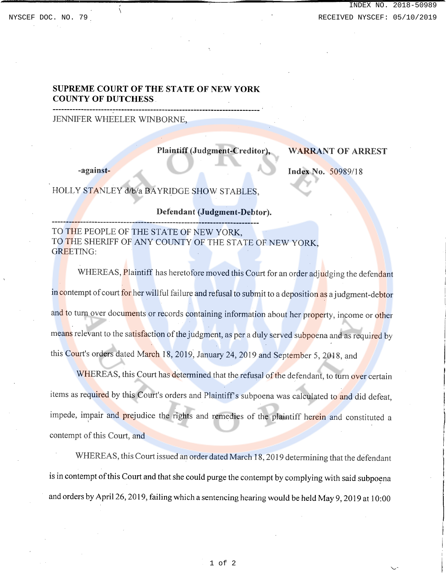# INDEX NO. 2018-50989 NYSCEF DOC. NO. 79 **RECEIVED NYSCEF: 05/10/2019**

## **SUPREME COURT OF THE STATE OF NEW YORK COUNTY OF DUTCHESS**

#### JENNIFER WHEELER WINBORNE,

## **Plaintiff (Judgment-Creditor),**

#### **WARRANT OF ARREST**

**-against-**

**Index No.** 50989/18

HOLLY STANLEY d/b/a BAYRIDGE SHOW STABLES.

**------------------------------------------------------------------------**

### **Defendant (Judgment-Debtor).**

TO THE PEOPLE OF THE STATE OF NEW YORK, TO THE SHERIFF OF ANY COUNTY OF THE STATE OF NEW YORK, GREETING:

WHEREAS, Plaintiff has heretofore moved this Court for an order adjudging the defendant in contempt of court for her willful failure and refusal to submit to a deposition as a judgment-debtor and to turn over documents or records containing information about her property, income or other means relevant to the satisfaction of the judgment, as per a duly served subpoena and as required by this Court's orders dated March 18, 2019, January 24, 2019 and September 5, 2018, and

WHEREAS, this Court has determined that the refusal of the defendant, to turn over certain items as required by this Court's orders and Plaintiff's subpoena was calculated to and did defeat, impede, impair and prejudice the rights and remedies of the plaintiff herein and constituted a contempt of this Court, and

WHEREAS, this Court issued an order dated March 18,2019 determining that the defendant is in contempt of this Court and that she could purge the contempt by complying with said subpoena and orders by April26, 2019, failing which a sentencing hearing would be held May 9, 2019 at 10:00